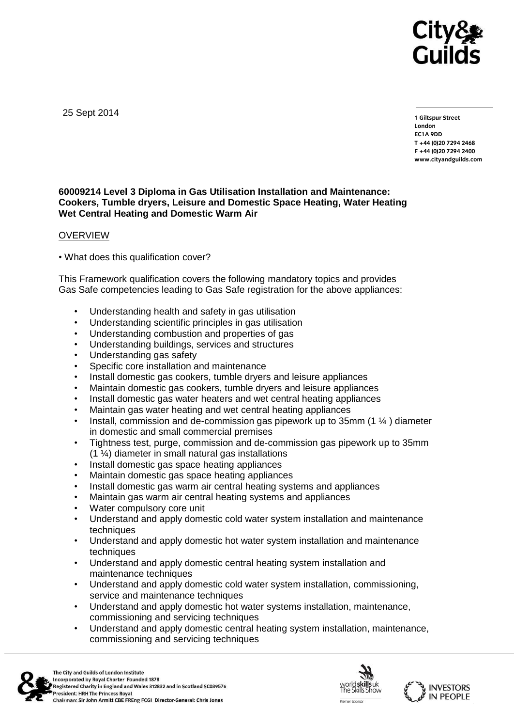

25 Sept 2014

**1 Giltspur Street EC1A 9DD**  $T + 44 (0)20 7294 2468$ **T +44 (0)20 7294 246[8](http://www.cityandguilds.com/) F +44 (0)20 7294 2400 [www.cityandguilds.com](http://www.cityandguilds.com/)**

## **60009214 Level 3 Diploma in Gas Utilisation Installation and Maintenance: Cookers, Tumble dryers, Leisure and Domestic Space Heating, Water Heating Wet Central Heating and Domestic Warm Air**

#### **OVERVIEW**

• What does this qualification cover?

This Framework qualification covers the following mandatory topics and provides Gas Safe competencies leading to Gas Safe registration for the above appliances:

- Understanding health and safety in gas utilisation
- Understanding scientific principles in gas utilisation
- Understanding combustion and properties of gas
- Understanding buildings, services and structures
- Understanding gas safety
- Specific core installation and maintenance
- Install domestic gas cookers, tumble dryers and leisure appliances
- Maintain domestic gas cookers, tumble dryers and leisure appliances
- Install domestic gas water heaters and wet central heating appliances
- Maintain gas water heating and wet central heating appliances
- Install, commission and de-commission gas pipework up to 35mm (1 ¼ ) diameter in domestic and small commercial premises
- Tightness test, purge, commission and de-commission gas pipework up to 35mm (1 ¼) diameter in small natural gas installations
- Install domestic gas space heating appliances
- Maintain domestic gas space heating appliances
- Install domestic gas warm air central heating systems and appliances
- Maintain gas warm air central heating systems and appliances
- Water compulsory core unit
- Understand and apply domestic cold water system installation and maintenance techniques
- Understand and apply domestic hot water system installation and maintenance techniques
- Understand and apply domestic central heating system installation and maintenance techniques
- Understand and apply domestic cold water system installation, commissioning, service and maintenance techniques
- Understand and apply domestic hot water systems installation, maintenance, commissioning and servicing techniques
- Understand and apply domestic central heating system installation, maintenance, commissioning and servicing techniques